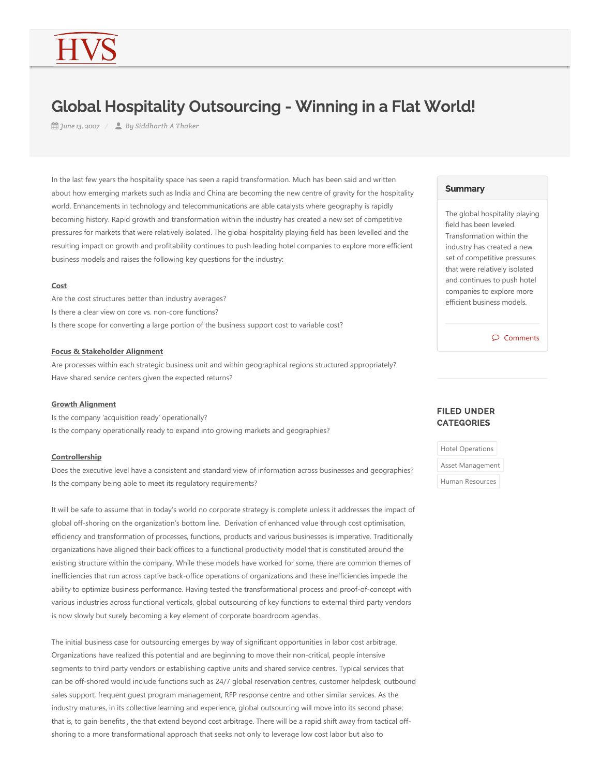# Global Hospitality Outsourcing - Winning in a Flat World!

*June 13, 2007 By Siddharth A Thaker*

In the last few years the hospitality space has seen a rapid transformation. Much has been said and written about how emerging markets such as India and China are becoming the new centre of gravity for the hospitality world. Enhancements in technology and telecommunications are able catalysts where geography is rapidly becoming history. Rapid growth and transformation within the industry has created a new set of competitive pressures for markets that were relatively isolated. The global hospitality playing field has been levelled and the resulting impact on growth and profitability continues to push leading hotel companies to explore more efficient business models and raises the following key questions for the industry:

#### **Cost**

Are the cost structures better than industry averages? Is there a clear view on core vs. non‐core functions? Is there scope for converting a large portion of the business support cost to variable cost?

#### **Focus & Stakeholder Alignment**

Are processes within each strategic business unit and within geographical regions structured appropriately? Have shared service centers given the expected returns?

### **Growth Alignment**

Is the company 'acquisition ready' operationally? Is the company operationally ready to expand into growing markets and geographies?

#### **Controllership**

Does the executive level have a consistent and standard view of information across businesses and geographies? Is the company being able to meet its regulatory requirements?

It will be safe to assume that in today's world no corporate strategy is complete unless it addresses the impact of global off‐shoring on the organization's bottom line. Derivation of enhanced value through cost optimisation, efficiency and transformation of processes, functions, products and various businesses is imperative. Traditionally organizations have aligned their back offices to a functional productivity model that is constituted around the existing structure within the company. While these models have worked for some, there are common themes of inefficiencies that run across captive back‐office operations of organizations and these inefficiencies impede the ability to optimize business performance. Having tested the transformational process and proof‐of‐concept with various industries across functional verticals, global outsourcing of key functions to external third party vendors is now slowly but surely becoming a key element of corporate boardroom agendas.

The initial business case for outsourcing emerges by way of significant opportunities in labor cost arbitrage. Organizations have realized this potential and are beginning to move their non‐critical, people intensive segments to third party vendors or establishing captive units and shared service centres. Typical services that can be off‐shored would include functions such as 24/7 global reservation centres, customer helpdesk, outbound sales support, frequent guest program management, RFP response centre and other similar services. As the industry matures, in its collective learning and experience, global outsourcing will move into its second phase; that is, to gain benefits , the that extend beyond cost arbitrage. There will be a rapid shift away from tactical off‐ shoring to a more transformational approach that seeks not only to leverage low cost labor but also to

#### **Summary**

The global hospitality playing field has been leveled. Transformation within the industry has created a new set of competitive pressures that were relatively isolated and continues to push hotel companies to explore more efficient business models.

 $\bigcap$  Comments

## FILED UNDER **CATEGORIES**

Hotel Operations

Asset Management

Human Resources